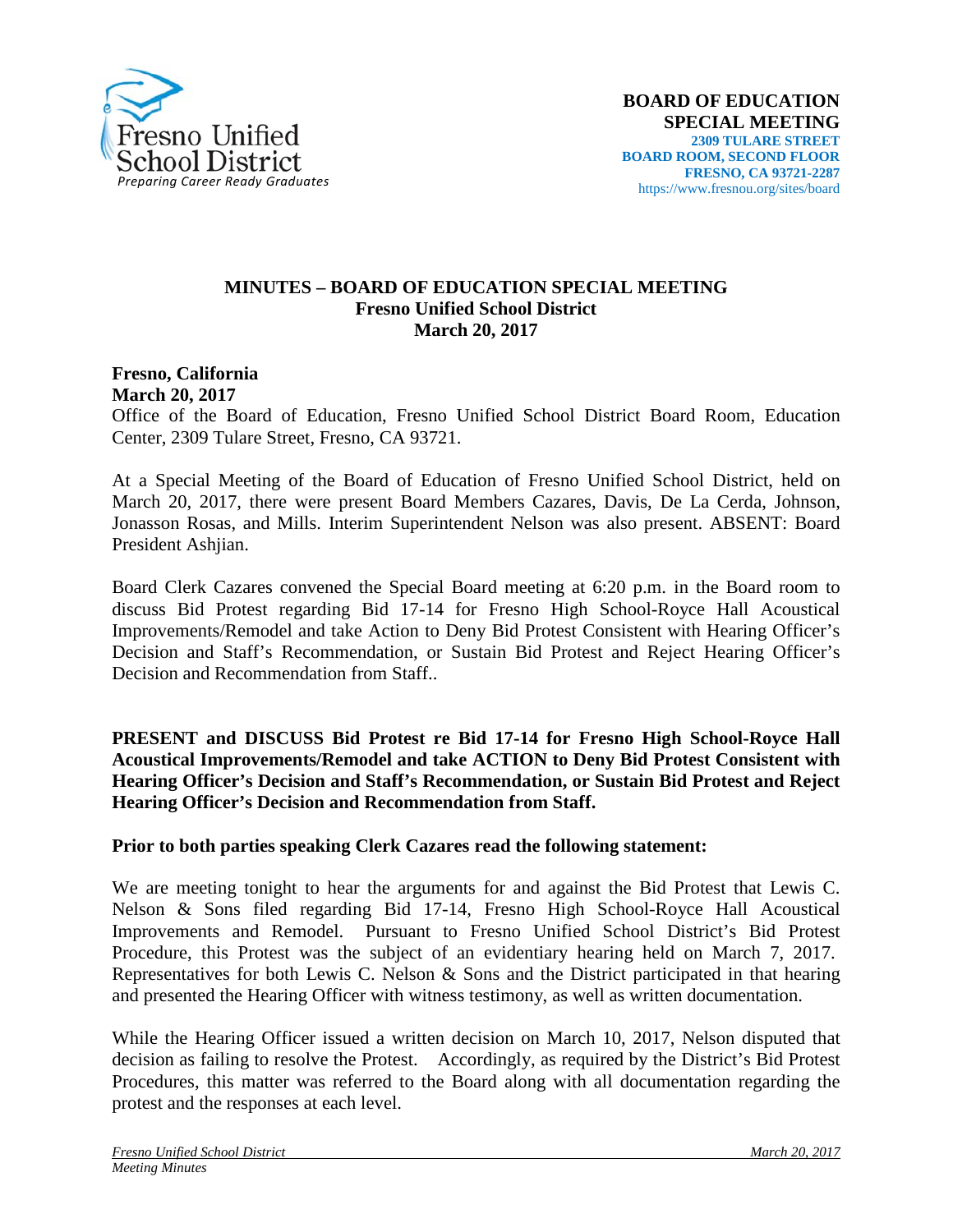

## **MINUTES – BOARD OF EDUCATION SPECIAL MEETING Fresno Unified School District March 20, 2017**

**Fresno, California March 20, 2017**

Office of the Board of Education, Fresno Unified School District Board Room, Education Center, 2309 Tulare Street, Fresno, CA 93721.

At a Special Meeting of the Board of Education of Fresno Unified School District, held on March 20, 2017, there were present Board Members Cazares, Davis, De La Cerda, Johnson, Jonasson Rosas, and Mills. Interim Superintendent Nelson was also present. ABSENT: Board President Ashjian.

Board Clerk Cazares convened the Special Board meeting at 6:20 p.m. in the Board room to discuss Bid Protest regarding Bid 17-14 for Fresno High School-Royce Hall Acoustical Improvements/Remodel and take Action to Deny Bid Protest Consistent with Hearing Officer's Decision and Staff's Recommendation, or Sustain Bid Protest and Reject Hearing Officer's Decision and Recommendation from Staff..

**PRESENT and DISCUSS Bid Protest re Bid 17-14 for Fresno High School-Royce Hall Acoustical Improvements/Remodel and take ACTION to Deny Bid Protest Consistent with Hearing Officer's Decision and Staff's Recommendation, or Sustain Bid Protest and Reject Hearing Officer's Decision and Recommendation from Staff.**

## **Prior to both parties speaking Clerk Cazares read the following statement:**

We are meeting tonight to hear the arguments for and against the Bid Protest that Lewis C. Nelson & Sons filed regarding Bid 17-14, Fresno High School-Royce Hall Acoustical Improvements and Remodel. Pursuant to Fresno Unified School District's Bid Protest Procedure, this Protest was the subject of an evidentiary hearing held on March 7, 2017. Representatives for both Lewis C. Nelson & Sons and the District participated in that hearing and presented the Hearing Officer with witness testimony, as well as written documentation.

While the Hearing Officer issued a written decision on March 10, 2017, Nelson disputed that decision as failing to resolve the Protest. Accordingly, as required by the District's Bid Protest Procedures, this matter was referred to the Board along with all documentation regarding the protest and the responses at each level.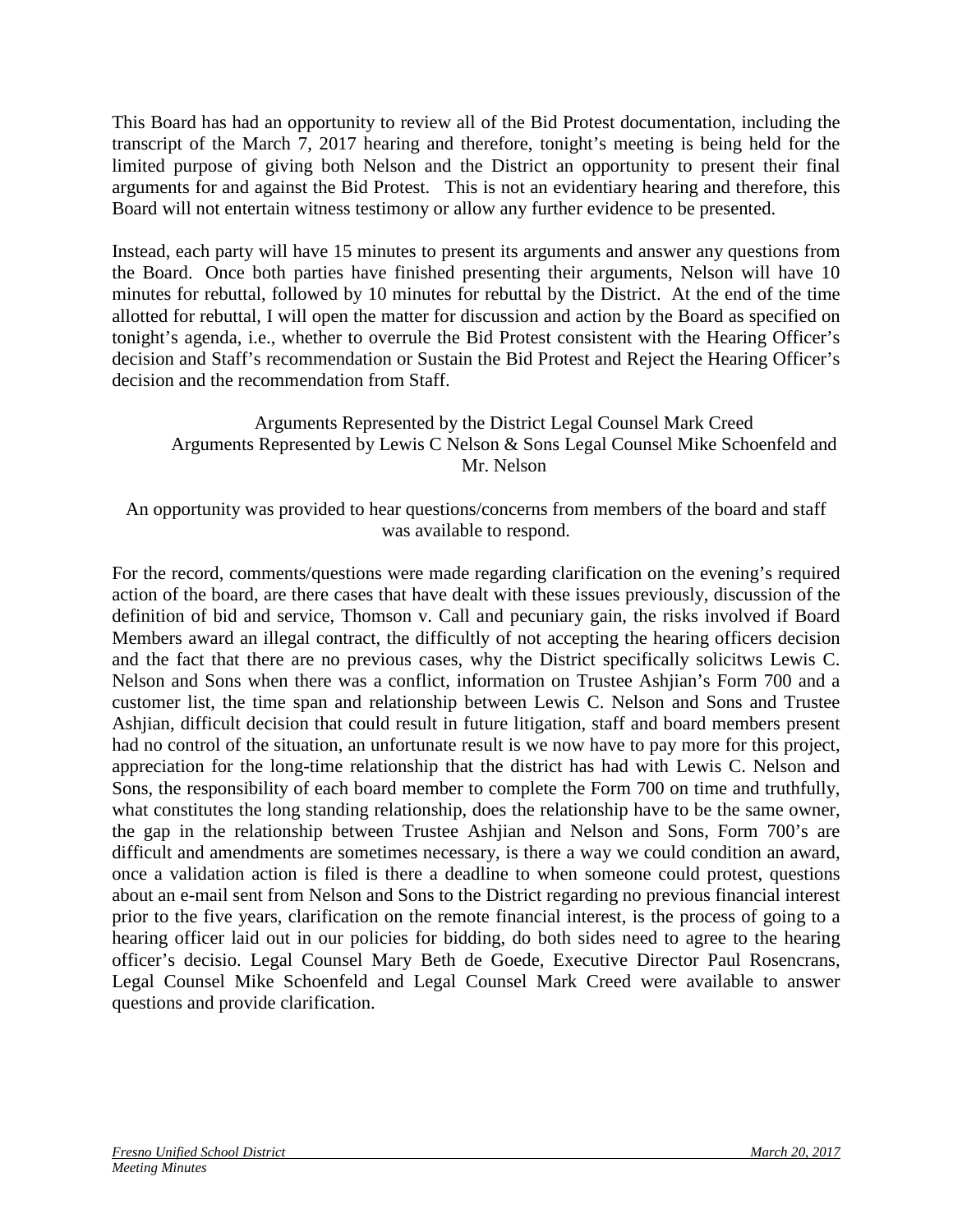This Board has had an opportunity to review all of the Bid Protest documentation, including the transcript of the March 7, 2017 hearing and therefore, tonight's meeting is being held for the limited purpose of giving both Nelson and the District an opportunity to present their final arguments for and against the Bid Protest. This is not an evidentiary hearing and therefore, this Board will not entertain witness testimony or allow any further evidence to be presented.

Instead, each party will have 15 minutes to present its arguments and answer any questions from the Board. Once both parties have finished presenting their arguments, Nelson will have 10 minutes for rebuttal, followed by 10 minutes for rebuttal by the District. At the end of the time allotted for rebuttal, I will open the matter for discussion and action by the Board as specified on tonight's agenda, i.e., whether to overrule the Bid Protest consistent with the Hearing Officer's decision and Staff's recommendation or Sustain the Bid Protest and Reject the Hearing Officer's decision and the recommendation from Staff.

## Arguments Represented by the District Legal Counsel Mark Creed Arguments Represented by Lewis C Nelson & Sons Legal Counsel Mike Schoenfeld and Mr. Nelson

An opportunity was provided to hear questions/concerns from members of the board and staff was available to respond.

For the record, comments/questions were made regarding clarification on the evening's required action of the board, are there cases that have dealt with these issues previously, discussion of the definition of bid and service, Thomson v. Call and pecuniary gain, the risks involved if Board Members award an illegal contract, the difficultly of not accepting the hearing officers decision and the fact that there are no previous cases, why the District specifically solicitws Lewis C. Nelson and Sons when there was a conflict, information on Trustee Ashjian's Form 700 and a customer list, the time span and relationship between Lewis C. Nelson and Sons and Trustee Ashjian, difficult decision that could result in future litigation, staff and board members present had no control of the situation, an unfortunate result is we now have to pay more for this project, appreciation for the long-time relationship that the district has had with Lewis C. Nelson and Sons, the responsibility of each board member to complete the Form 700 on time and truthfully, what constitutes the long standing relationship, does the relationship have to be the same owner, the gap in the relationship between Trustee Ashjian and Nelson and Sons, Form 700's are difficult and amendments are sometimes necessary, is there a way we could condition an award, once a validation action is filed is there a deadline to when someone could protest, questions about an e-mail sent from Nelson and Sons to the District regarding no previous financial interest prior to the five years, clarification on the remote financial interest, is the process of going to a hearing officer laid out in our policies for bidding, do both sides need to agree to the hearing officer's decisio. Legal Counsel Mary Beth de Goede, Executive Director Paul Rosencrans, Legal Counsel Mike Schoenfeld and Legal Counsel Mark Creed were available to answer questions and provide clarification.